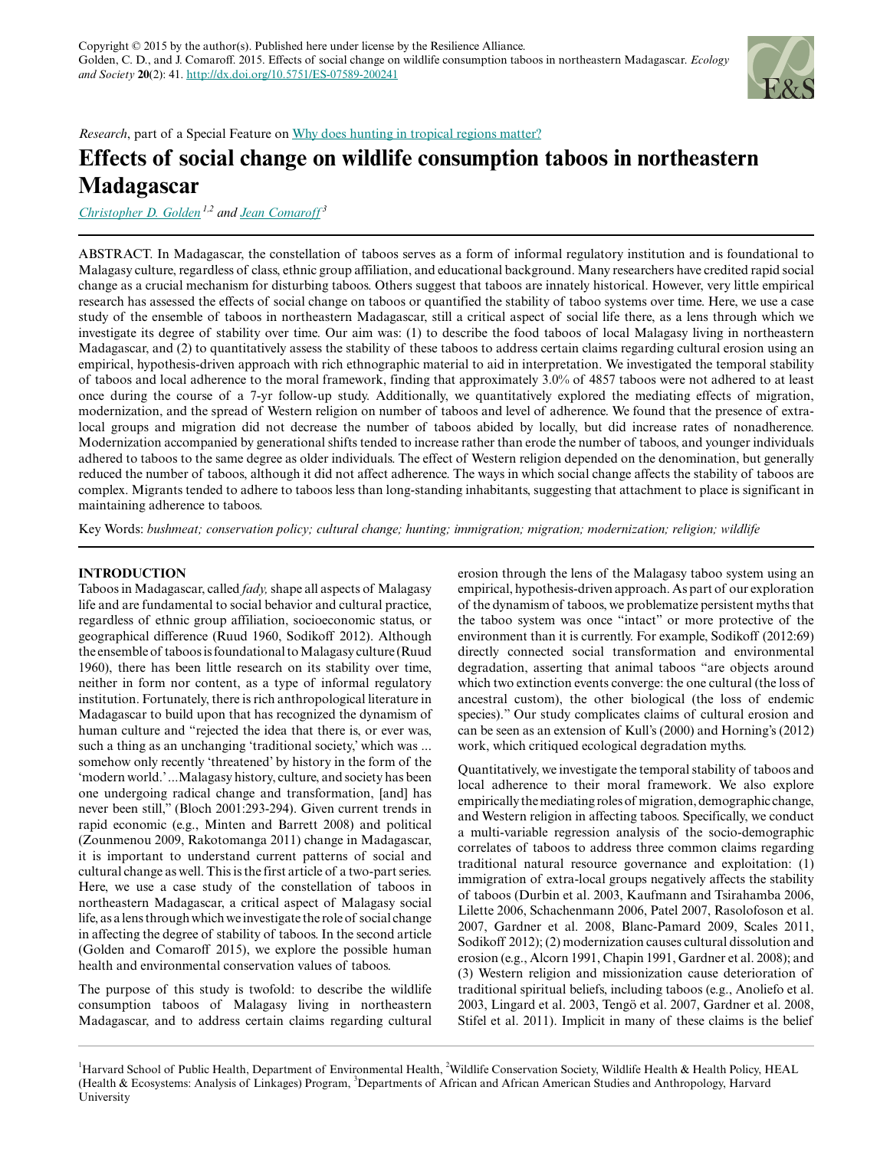

# *Research*, part of a Special Feature on [Why does hunting in tropical regions matter?](http://www.ecologyandsociety.org/viewissue.php?sf=108)

# **Effects of social change on wildlife consumption taboos in northeastern Madagascar**

*[Christopher D. Golden](mailto:golden@hsph.harvard.edu)*<sup> $1,2$ </sup> and *[Jean Comaroff](mailto:jeancomaroff@fas.harvard.edu)*<sup>3</sup>

ABSTRACT. In Madagascar, the constellation of taboos serves as a form of informal regulatory institution and is foundational to Malagasy culture, regardless of class, ethnic group affiliation, and educational background. Many researchers have credited rapid social change as a crucial mechanism for disturbing taboos. Others suggest that taboos are innately historical. However, very little empirical research has assessed the effects of social change on taboos or quantified the stability of taboo systems over time. Here, we use a case study of the ensemble of taboos in northeastern Madagascar, still a critical aspect of social life there, as a lens through which we investigate its degree of stability over time. Our aim was: (1) to describe the food taboos of local Malagasy living in northeastern Madagascar, and (2) to quantitatively assess the stability of these taboos to address certain claims regarding cultural erosion using an empirical, hypothesis-driven approach with rich ethnographic material to aid in interpretation. We investigated the temporal stability of taboos and local adherence to the moral framework, finding that approximately 3.0% of 4857 taboos were not adhered to at least once during the course of a 7-yr follow-up study. Additionally, we quantitatively explored the mediating effects of migration, modernization, and the spread of Western religion on number of taboos and level of adherence. We found that the presence of extralocal groups and migration did not decrease the number of taboos abided by locally, but did increase rates of nonadherence. Modernization accompanied by generational shifts tended to increase rather than erode the number of taboos, and younger individuals adhered to taboos to the same degree as older individuals. The effect of Western religion depended on the denomination, but generally reduced the number of taboos, although it did not affect adherence. The ways in which social change affects the stability of taboos are complex. Migrants tended to adhere to taboos less than long-standing inhabitants, suggesting that attachment to place is significant in maintaining adherence to taboos.

Key Words: *bushmeat; conservation policy; cultural change; hunting; immigration; migration; modernization; religion; wildlife*

## **INTRODUCTION**

Taboos in Madagascar, called *fady,* shape all aspects of Malagasy life and are fundamental to social behavior and cultural practice, regardless of ethnic group affiliation, socioeconomic status, or geographical difference (Ruud 1960, Sodikoff 2012). Although the ensemble of taboos is foundational to Malagasy culture (Ruud 1960), there has been little research on its stability over time, neither in form nor content, as a type of informal regulatory institution. Fortunately, there is rich anthropological literature in Madagascar to build upon that has recognized the dynamism of human culture and "rejected the idea that there is, or ever was, such a thing as an unchanging 'traditional society,' which was ... somehow only recently 'threatened' by history in the form of the 'modern world.' ...Malagasy history, culture, and society has been one undergoing radical change and transformation, [and] has never been still," (Bloch 2001:293-294). Given current trends in rapid economic (e.g., Minten and Barrett 2008) and political (Zounmenou 2009, Rakotomanga 2011) change in Madagascar, it is important to understand current patterns of social and cultural change as well. This is the first article of a two-part series. Here, we use a case study of the constellation of taboos in northeastern Madagascar, a critical aspect of Malagasy social life, as a lens through which we investigate the role of social change in affecting the degree of stability of taboos. In the second article (Golden and Comaroff 2015), we explore the possible human health and environmental conservation values of taboos.

The purpose of this study is twofold: to describe the wildlife consumption taboos of Malagasy living in northeastern Madagascar, and to address certain claims regarding cultural erosion through the lens of the Malagasy taboo system using an empirical, hypothesis-driven approach. As part of our exploration of the dynamism of taboos, we problematize persistent myths that the taboo system was once "intact" or more protective of the environment than it is currently. For example, Sodikoff (2012:69) directly connected social transformation and environmental degradation, asserting that animal taboos "are objects around which two extinction events converge: the one cultural (the loss of ancestral custom), the other biological (the loss of endemic species)." Our study complicates claims of cultural erosion and can be seen as an extension of Kull's (2000) and Horning's (2012) work, which critiqued ecological degradation myths.

Quantitatively, we investigate the temporal stability of taboos and local adherence to their moral framework. We also explore empirically the mediating roles of migration, demographic change, and Western religion in affecting taboos. Specifically, we conduct a multi-variable regression analysis of the socio-demographic correlates of taboos to address three common claims regarding traditional natural resource governance and exploitation: (1) immigration of extra-local groups negatively affects the stability of taboos (Durbin et al. 2003, Kaufmann and Tsirahamba 2006, Lilette 2006, Schachenmann 2006, Patel 2007, Rasolofoson et al. 2007, Gardner et al. 2008, Blanc-Pamard 2009, Scales 2011, Sodikoff 2012); (2) modernization causes cultural dissolution and erosion (e.g., Alcorn 1991, Chapin 1991, Gardner et al. 2008); and (3) Western religion and missionization cause deterioration of traditional spiritual beliefs, including taboos (e.g., Anoliefo et al. 2003, Lingard et al. 2003, Tengö et al. 2007, Gardner et al. 2008, Stifel et al. 2011). Implicit in many of these claims is the belief

<sup>&</sup>lt;sup>1</sup>Harvard School of Public Health, Department of Environmental Health, <sup>2</sup>Wildlife Conservation Society, Wildlife Health & Health Policy, HEAL (Health & Ecosystems: Analysis of Linkages) Program, <sup>3</sup>Departments of African and African American Studies and Anthropology, Harvard University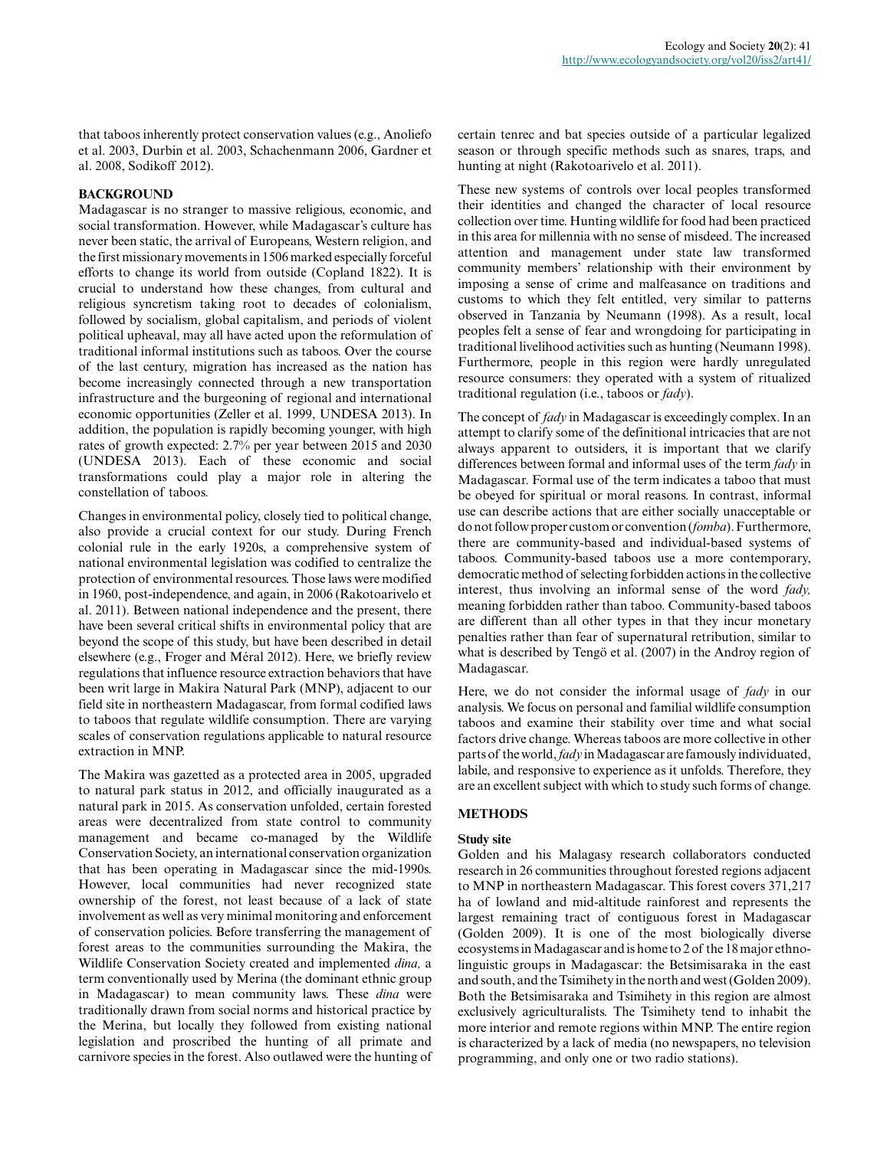that taboos inherently protect conservation values (e.g., Anoliefo et al. 2003, Durbin et al. 2003, Schachenmann 2006, Gardner et al. 2008, Sodikoff 2012).

# **BACKGROUND**

Madagascar is no stranger to massive religious, economic, and social transformation. However, while Madagascar's culture has never been static, the arrival of Europeans, Western religion, and the first missionary movements in 1506 marked especially forceful efforts to change its world from outside (Copland 1822). It is crucial to understand how these changes, from cultural and religious syncretism taking root to decades of colonialism, followed by socialism, global capitalism, and periods of violent political upheaval, may all have acted upon the reformulation of traditional informal institutions such as taboos. Over the course of the last century, migration has increased as the nation has become increasingly connected through a new transportation infrastructure and the burgeoning of regional and international economic opportunities (Zeller et al. 1999, UNDESA 2013). In addition, the population is rapidly becoming younger, with high rates of growth expected: 2.7% per year between 2015 and 2030 (UNDESA 2013). Each of these economic and social transformations could play a major role in altering the constellation of taboos.

Changes in environmental policy, closely tied to political change, also provide a crucial context for our study. During French colonial rule in the early 1920s, a comprehensive system of national environmental legislation was codified to centralize the protection of environmental resources. Those laws were modified in 1960, post-independence, and again, in 2006 (Rakotoarivelo et al. 2011). Between national independence and the present, there have been several critical shifts in environmental policy that are beyond the scope of this study, but have been described in detail elsewhere (e.g., Froger and Méral 2012). Here, we briefly review regulations that influence resource extraction behaviors that have been writ large in Makira Natural Park (MNP), adjacent to our field site in northeastern Madagascar, from formal codified laws to taboos that regulate wildlife consumption. There are varying scales of conservation regulations applicable to natural resource extraction in MNP.

The Makira was gazetted as a protected area in 2005, upgraded to natural park status in 2012, and officially inaugurated as a natural park in 2015. As conservation unfolded, certain forested areas were decentralized from state control to community management and became co-managed by the Wildlife Conservation Society, an international conservation organization that has been operating in Madagascar since the mid-1990s. However, local communities had never recognized state ownership of the forest, not least because of a lack of state involvement as well as very minimal monitoring and enforcement of conservation policies. Before transferring the management of forest areas to the communities surrounding the Makira, the Wildlife Conservation Society created and implemented *dina,* a term conventionally used by Merina (the dominant ethnic group in Madagascar) to mean community laws. These *dina* were traditionally drawn from social norms and historical practice by the Merina, but locally they followed from existing national legislation and proscribed the hunting of all primate and carnivore species in the forest. Also outlawed were the hunting of certain tenrec and bat species outside of a particular legalized season or through specific methods such as snares, traps, and hunting at night (Rakotoarivelo et al. 2011).

These new systems of controls over local peoples transformed their identities and changed the character of local resource collection over time. Hunting wildlife for food had been practiced in this area for millennia with no sense of misdeed. The increased attention and management under state law transformed community members' relationship with their environment by imposing a sense of crime and malfeasance on traditions and customs to which they felt entitled, very similar to patterns observed in Tanzania by Neumann (1998). As a result, local peoples felt a sense of fear and wrongdoing for participating in traditional livelihood activities such as hunting (Neumann 1998). Furthermore, people in this region were hardly unregulated resource consumers: they operated with a system of ritualized traditional regulation (i.e., taboos or *fady*).

The concept of *fady* in Madagascar is exceedingly complex. In an attempt to clarify some of the definitional intricacies that are not always apparent to outsiders, it is important that we clarify differences between formal and informal uses of the term *fady* in Madagascar. Formal use of the term indicates a taboo that must be obeyed for spiritual or moral reasons. In contrast, informal use can describe actions that are either socially unacceptable or do not follow proper custom or convention (*fomba*). Furthermore, there are community-based and individual-based systems of taboos. Community-based taboos use a more contemporary, democratic method of selecting forbidden actions in the collective interest, thus involving an informal sense of the word *fady,* meaning forbidden rather than taboo. Community-based taboos are different than all other types in that they incur monetary penalties rather than fear of supernatural retribution, similar to what is described by Tengö et al. (2007) in the Androy region of Madagascar.

Here, we do not consider the informal usage of *fady* in our analysis. We focus on personal and familial wildlife consumption taboos and examine their stability over time and what social factors drive change. Whereas taboos are more collective in other parts of the world, *fady* in Madagascar are famously individuated, labile, and responsive to experience as it unfolds. Therefore, they are an excellent subject with which to study such forms of change.

# **METHODS**

## **Study site**

Golden and his Malagasy research collaborators conducted research in 26 communities throughout forested regions adjacent to MNP in northeastern Madagascar. This forest covers 371,217 ha of lowland and mid-altitude rainforest and represents the largest remaining tract of contiguous forest in Madagascar (Golden 2009). It is one of the most biologically diverse ecosystems in Madagascar and is home to 2 of the 18 major ethnolinguistic groups in Madagascar: the Betsimisaraka in the east and south, and the Tsimihety in the north and west (Golden 2009). Both the Betsimisaraka and Tsimihety in this region are almost exclusively agriculturalists. The Tsimihety tend to inhabit the more interior and remote regions within MNP. The entire region is characterized by a lack of media (no newspapers, no television programming, and only one or two radio stations).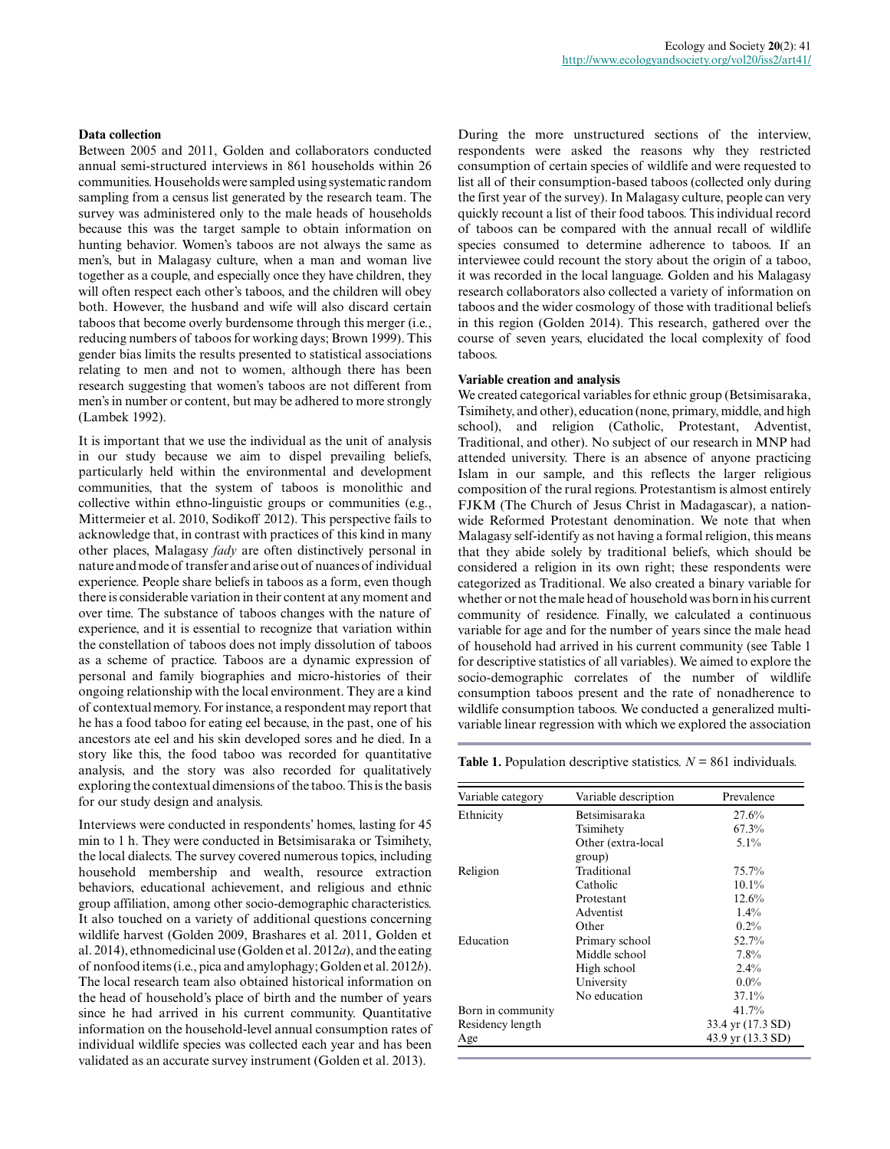# **Data collection**

Between 2005 and 2011, Golden and collaborators conducted annual semi-structured interviews in 861 households within 26 communities. Households were sampled using systematic random sampling from a census list generated by the research team. The survey was administered only to the male heads of households because this was the target sample to obtain information on hunting behavior. Women's taboos are not always the same as men's, but in Malagasy culture, when a man and woman live together as a couple, and especially once they have children, they will often respect each other's taboos, and the children will obey both. However, the husband and wife will also discard certain taboos that become overly burdensome through this merger (i.e., reducing numbers of taboos for working days; Brown 1999). This gender bias limits the results presented to statistical associations relating to men and not to women, although there has been research suggesting that women's taboos are not different from men's in number or content, but may be adhered to more strongly (Lambek 1992).

It is important that we use the individual as the unit of analysis in our study because we aim to dispel prevailing beliefs, particularly held within the environmental and development communities, that the system of taboos is monolithic and collective within ethno-linguistic groups or communities (e.g., Mittermeier et al. 2010, Sodikoff 2012). This perspective fails to acknowledge that, in contrast with practices of this kind in many other places, Malagasy *fady* are often distinctively personal in nature and mode of transfer and arise out of nuances of individual experience. People share beliefs in taboos as a form, even though there is considerable variation in their content at any moment and over time. The substance of taboos changes with the nature of experience, and it is essential to recognize that variation within the constellation of taboos does not imply dissolution of taboos as a scheme of practice. Taboos are a dynamic expression of personal and family biographies and micro-histories of their ongoing relationship with the local environment. They are a kind of contextual memory. For instance, a respondent may report that he has a food taboo for eating eel because, in the past, one of his ancestors ate eel and his skin developed sores and he died. In a story like this, the food taboo was recorded for quantitative analysis, and the story was also recorded for qualitatively exploring the contextual dimensions of the taboo. This is the basis for our study design and analysis.

Interviews were conducted in respondents' homes, lasting for 45 min to 1 h. They were conducted in Betsimisaraka or Tsimihety, the local dialects. The survey covered numerous topics, including household membership and wealth, resource extraction behaviors, educational achievement, and religious and ethnic group affiliation, among other socio-demographic characteristics. It also touched on a variety of additional questions concerning wildlife harvest (Golden 2009, Brashares et al. 2011, Golden et al. 2014), ethnomedicinal use (Golden et al. 2012*a*), and the eating of nonfood items (i.e., pica and amylophagy; Golden et al. 2012*b*). The local research team also obtained historical information on the head of household's place of birth and the number of years since he had arrived in his current community. Quantitative information on the household-level annual consumption rates of individual wildlife species was collected each year and has been validated as an accurate survey instrument (Golden et al. 2013).

During the more unstructured sections of the interview, respondents were asked the reasons why they restricted consumption of certain species of wildlife and were requested to list all of their consumption-based taboos (collected only during the first year of the survey). In Malagasy culture, people can very quickly recount a list of their food taboos. This individual record of taboos can be compared with the annual recall of wildlife species consumed to determine adherence to taboos. If an interviewee could recount the story about the origin of a taboo, it was recorded in the local language. Golden and his Malagasy research collaborators also collected a variety of information on taboos and the wider cosmology of those with traditional beliefs in this region (Golden 2014). This research, gathered over the course of seven years, elucidated the local complexity of food taboos.

#### **Variable creation and analysis**

We created categorical variables for ethnic group (Betsimisaraka, Tsimihety, and other), education (none, primary, middle, and high school), and religion (Catholic, Protestant, Adventist, Traditional, and other). No subject of our research in MNP had attended university. There is an absence of anyone practicing Islam in our sample, and this reflects the larger religious composition of the rural regions. Protestantism is almost entirely FJKM (The Church of Jesus Christ in Madagascar), a nationwide Reformed Protestant denomination. We note that when Malagasy self-identify as not having a formal religion, this means that they abide solely by traditional beliefs, which should be considered a religion in its own right; these respondents were categorized as Traditional. We also created a binary variable for whether or not the male head of household was born in his current community of residence. Finally, we calculated a continuous variable for age and for the number of years since the male head of household had arrived in his current community (see Table 1 for descriptive statistics of all variables). We aimed to explore the socio-demographic correlates of the number of wildlife consumption taboos present and the rate of nonadherence to wildlife consumption taboos. We conducted a generalized multivariable linear regression with which we explored the association

**Table 1.** Population descriptive statistics.  $N = 861$  individuals.

| Variable category | Variable description | Prevalence        |
|-------------------|----------------------|-------------------|
| Ethnicity         | <b>Betsimisaraka</b> | 27.6%             |
|                   | Tsimihety            | 67.3%             |
|                   | Other (extra-local   | $5.1\%$           |
|                   | group)               |                   |
| Religion          | Traditional          | 75.7%             |
|                   | Catholic             | $10.1\%$          |
|                   | Protestant           | 12.6%             |
|                   | Adventist            | $1.4\%$           |
|                   | Other                | 0.2%              |
| Education         | Primary school       | 52.7%             |
|                   | Middle school        | 7.8%              |
|                   | High school          | 2.4%              |
|                   | University           | $0.0\%$           |
|                   | No education         | 37.1%             |
| Born in community |                      | 41.7%             |
| Residency length  |                      | 33.4 yr (17.3 SD) |
| Age               |                      | 43.9 yr (13.3 SD) |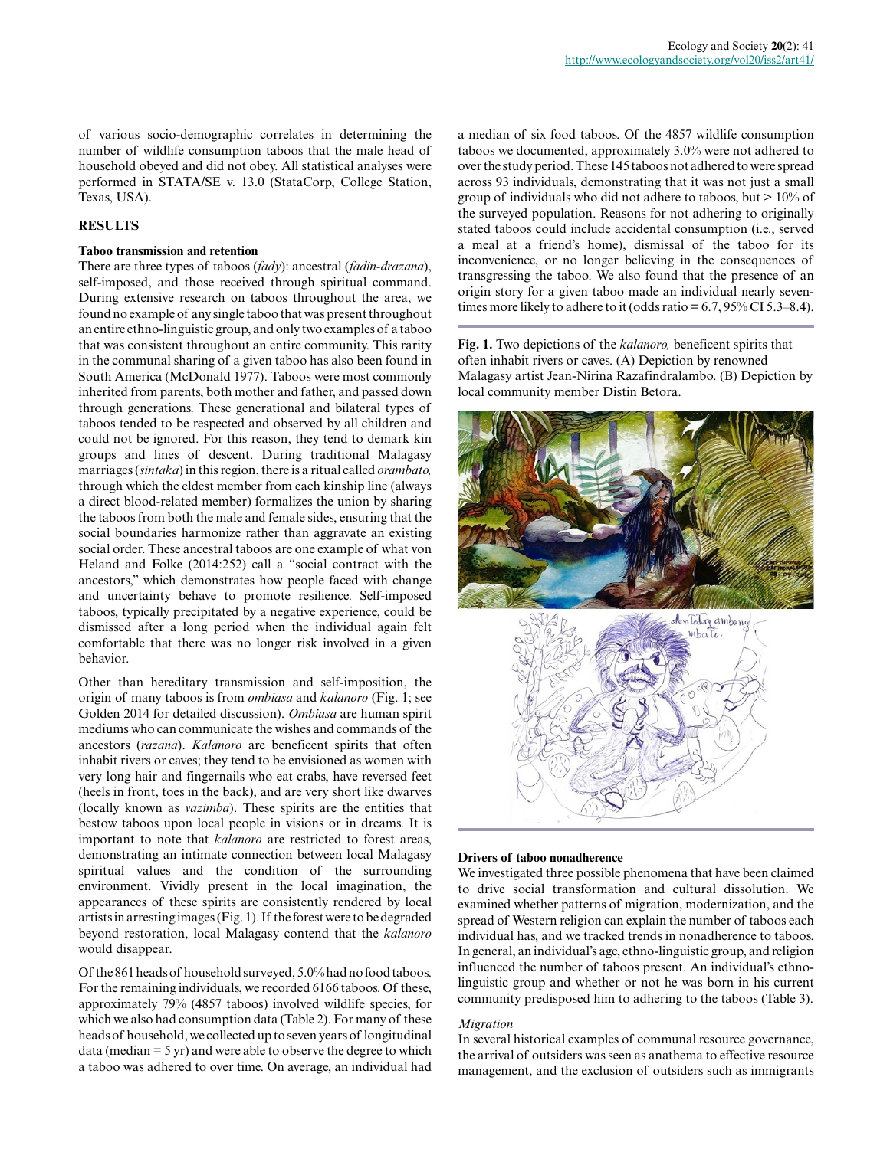of various socio-demographic correlates in determining the number of wildlife consumption taboos that the male head of household obeyed and did not obey. All statistical analyses were performed in STATA/SE v. 13.0 (StataCorp, College Station, Texas, USA).

# **RESULTS**

## **Taboo transmission and retention**

There are three types of taboos (*fady*): ancestral (*fadin-drazana*), self-imposed, and those received through spiritual command. During extensive research on taboos throughout the area, we found no example of any single taboo that was present throughout an entire ethno-linguistic group, and only two examples of a taboo that was consistent throughout an entire community. This rarity in the communal sharing of a given taboo has also been found in South America (McDonald 1977). Taboos were most commonly inherited from parents, both mother and father, and passed down through generations. These generational and bilateral types of taboos tended to be respected and observed by all children and could not be ignored. For this reason, they tend to demark kin groups and lines of descent. During traditional Malagasy marriages (*sintaka*) in this region, there is a ritual called *orambato,* through which the eldest member from each kinship line (always a direct blood-related member) formalizes the union by sharing the taboos from both the male and female sides, ensuring that the social boundaries harmonize rather than aggravate an existing social order. These ancestral taboos are one example of what von Heland and Folke (2014:252) call a "social contract with the ancestors," which demonstrates how people faced with change and uncertainty behave to promote resilience. Self-imposed taboos, typically precipitated by a negative experience, could be dismissed after a long period when the individual again felt comfortable that there was no longer risk involved in a given behavior.

Other than hereditary transmission and self-imposition, the origin of many taboos is from *ombiasa* and *kalanoro* (Fig. 1; see Golden 2014 for detailed discussion). *Ombiasa* are human spirit mediums who can communicate the wishes and commands of the ancestors (*razana*). *Kalanoro* are beneficent spirits that often inhabit rivers or caves; they tend to be envisioned as women with very long hair and fingernails who eat crabs, have reversed feet (heels in front, toes in the back), and are very short like dwarves (locally known as *vazimba*). These spirits are the entities that bestow taboos upon local people in visions or in dreams. It is important to note that *kalanoro* are restricted to forest areas, demonstrating an intimate connection between local Malagasy spiritual values and the condition of the surrounding environment. Vividly present in the local imagination, the appearances of these spirits are consistently rendered by local artists in arresting images (Fig. 1). If the forest were to be degraded beyond restoration, local Malagasy contend that the *kalanoro* would disappear.

Of the 861 heads of household surveyed, 5.0% had no food taboos. For the remaining individuals, we recorded 6166 taboos. Of these, approximately 79% (4857 taboos) involved wildlife species, for which we also had consumption data (Table 2). For many of these heads of household, we collected up to seven years of longitudinal data (median  $= 5$  yr) and were able to observe the degree to which a taboo was adhered to over time. On average, an individual had a median of six food taboos. Of the 4857 wildlife consumption taboos we documented, approximately 3.0% were not adhered to over the study period. These 145 taboos not adhered to were spread across 93 individuals, demonstrating that it was not just a small group of individuals who did not adhere to taboos, but  $> 10\%$  of the surveyed population. Reasons for not adhering to originally stated taboos could include accidental consumption (i.e., served a meal at a friend's home), dismissal of the taboo for its inconvenience, or no longer believing in the consequences of transgressing the taboo. We also found that the presence of an origin story for a given taboo made an individual nearly seventimes more likely to adhere to it (odds ratio =  $6.7,95\%$  CI  $5.3-8.4$ ).

**Fig. 1.** Two depictions of the *kalanoro,* beneficent spirits that often inhabit rivers or caves. (A) Depiction by renowned Malagasy artist Jean-Nirina Razafindralambo. (B) Depiction by local community member Distin Betora.



## **Drivers of taboo nonadherence**

We investigated three possible phenomena that have been claimed to drive social transformation and cultural dissolution. We examined whether patterns of migration, modernization, and the spread of Western religion can explain the number of taboos each individual has, and we tracked trends in nonadherence to taboos. In general, an individual's age, ethno-linguistic group, and religion influenced the number of taboos present. An individual's ethnolinguistic group and whether or not he was born in his current community predisposed him to adhering to the taboos (Table 3).

#### *Migration*

In several historical examples of communal resource governance, the arrival of outsiders was seen as anathema to effective resource management, and the exclusion of outsiders such as immigrants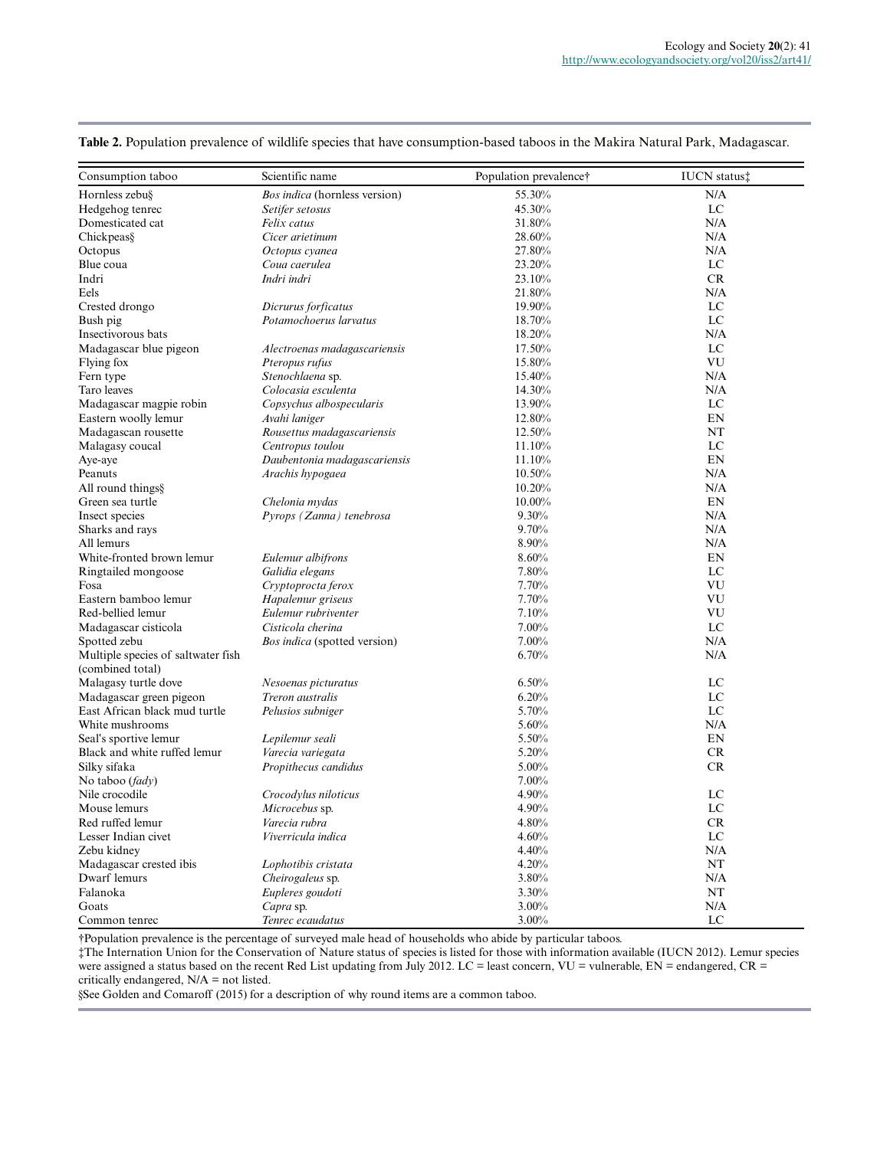| Consumption taboo                  | Scientific name               | Population prevalence† | IUCN status‡               |
|------------------------------------|-------------------------------|------------------------|----------------------------|
| Hornless zebu§                     | Bos indica (hornless version) | 55.30%                 | N/A                        |
| Hedgehog tenrec                    | Setifer setosus               | 45.30%                 | LC                         |
| Domesticated cat                   | Felix catus                   | 31.80%                 | N/A                        |
| Chickpeas                          | Cicer arietinum               | 28.60%                 | N/A                        |
| Octopus                            | Octopus cyanea                | 27.80%                 | N/A                        |
| Blue coua                          | Coua caerulea                 | 23.20%                 | LC                         |
| Indri                              | Indri indri                   | 23.10%                 | CR                         |
| Eels                               |                               | 21.80%                 | N/A                        |
| Crested drongo                     | Dicrurus forficatus           | 19.90%                 | LC                         |
| Bush pig                           | Potamochoerus larvatus        | 18.70%                 | LC                         |
| Insectivorous bats                 |                               | 18.20%                 | N/A                        |
| Madagascar blue pigeon             | Alectroenas madagascariensis  | 17.50%                 | LC                         |
| Flying fox                         | Pteropus rufus                | 15.80%                 | VU                         |
| Fern type                          | Stenochlaena sp.              | 15.40%                 | N/A                        |
| Taro leaves                        | Colocasia esculenta           | 14.30%                 | N/A                        |
| Madagascar magpie robin            | Copsychus albospecularis      | 13.90%                 | LC                         |
| Eastern woolly lemur               | Avahi laniger                 | 12.80%                 | EN                         |
| Madagascan rousette                | Rousettus madagascariensis    | 12.50%                 | NT                         |
| Malagasy coucal                    | Centropus toulou              | 11.10%                 | LC                         |
| Aye-aye                            | Daubentonia madagascariensis  | 11.10%                 | EN                         |
| Peanuts                            | Arachis hypogaea              | 10.50%                 | N/A                        |
| All round things§                  |                               | 10.20%                 | N/A                        |
| Green sea turtle                   | Chelonia mydas                | 10.00%                 | EN                         |
| Insect species                     | Pyrops (Zanna) tenebrosa      | 9.30%                  | N/A                        |
| Sharks and rays                    |                               | 9.70%                  | N/A                        |
| All lemurs                         |                               | 8.90%                  | N/A                        |
| White-fronted brown lemur          | Eulemur albifrons             | 8.60%                  | EN                         |
| Ringtailed mongoose                | Galidia elegans               | 7.80%                  | LC                         |
| Fosa                               | Cryptoprocta ferox            | 7.70%                  | VU                         |
| Eastern bamboo lemur               | Hapalemur griseus             | 7.70%                  | VU                         |
| Red-bellied lemur                  | Eulemur rubriventer           | 7.10%                  | VU                         |
| Madagascar cisticola               | Cisticola cherina             | 7.00%                  | LC                         |
| Spotted zebu                       | Bos indica (spotted version)  | 7.00%                  | N/A                        |
| Multiple species of saltwater fish |                               | 6.70%                  | N/A                        |
| (combined total)                   |                               |                        |                            |
| Malagasy turtle dove               | Nesoenas picturatus           | 6.50%                  | LC                         |
| Madagascar green pigeon            | Treron australis              | 6.20%                  | LC                         |
| East African black mud turtle      | Pelusios subniger             | 5.70%                  | $_{\rm LC}$                |
| White mushrooms                    |                               | 5.60%                  | N/A                        |
| Seal's sportive lemur              | Lepilemur seali               | 5.50%                  | EN                         |
| Black and white ruffed lemur       | Varecia variegata             | 5.20%                  | ${\cal CR}$                |
| Silky sifaka                       | Propithecus candidus          | 5.00%                  | <b>CR</b>                  |
| No taboo ( <i>fady</i> )           |                               | 7.00%                  |                            |
| Nile crocodile                     | Crocodylus niloticus          | 4.90%                  | LC                         |
| Mouse lemurs                       | <i>Microcebus</i> sp.         | 4.90%                  | LC                         |
| Red ruffed lemur                   | Varecia rubra                 | 4.80%                  | ${\cal CR}$                |
| Lesser Indian civet                | Viverricula indica            | 4.60%                  | $\mathop{\rm LC}\nolimits$ |
| Zebu kidney                        |                               | 4.40%                  | N/A                        |
| Madagascar crested ibis            | Lophotibis cristata           | 4.20%                  | $\rm{NT}$                  |
| Dwarf lemurs                       | Cheirogaleus sp.              | 3.80%                  | N/A                        |
| Falanoka                           | Eupleres goudoti              | 3.30%                  | $\rm{NT}$                  |
| Goats                              | Capra sp.                     | 3.00%                  | $\rm N/A$                  |
| Common tenrec                      | Tenrec ecaudatus              | $3.00\%$               | $\mathop{\rm LC}\nolimits$ |

**Table 2.** Population prevalence of wildlife species that have consumption-based taboos in the Makira Natural Park, Madagascar.

†Population prevalence is the percentage of surveyed male head of households who abide by particular taboos.

‡The Internation Union for the Conservation of Nature status of species is listed for those with information available (IUCN 2012). Lemur species were assigned a status based on the recent Red List updating from July 2012. LC = least concern, VU = vulnerable,  $EN =$  endangered,  $CR =$ critically endangered, N/A = not listed.

§See Golden and Comaroff (2015) for a description of why round items are a common taboo.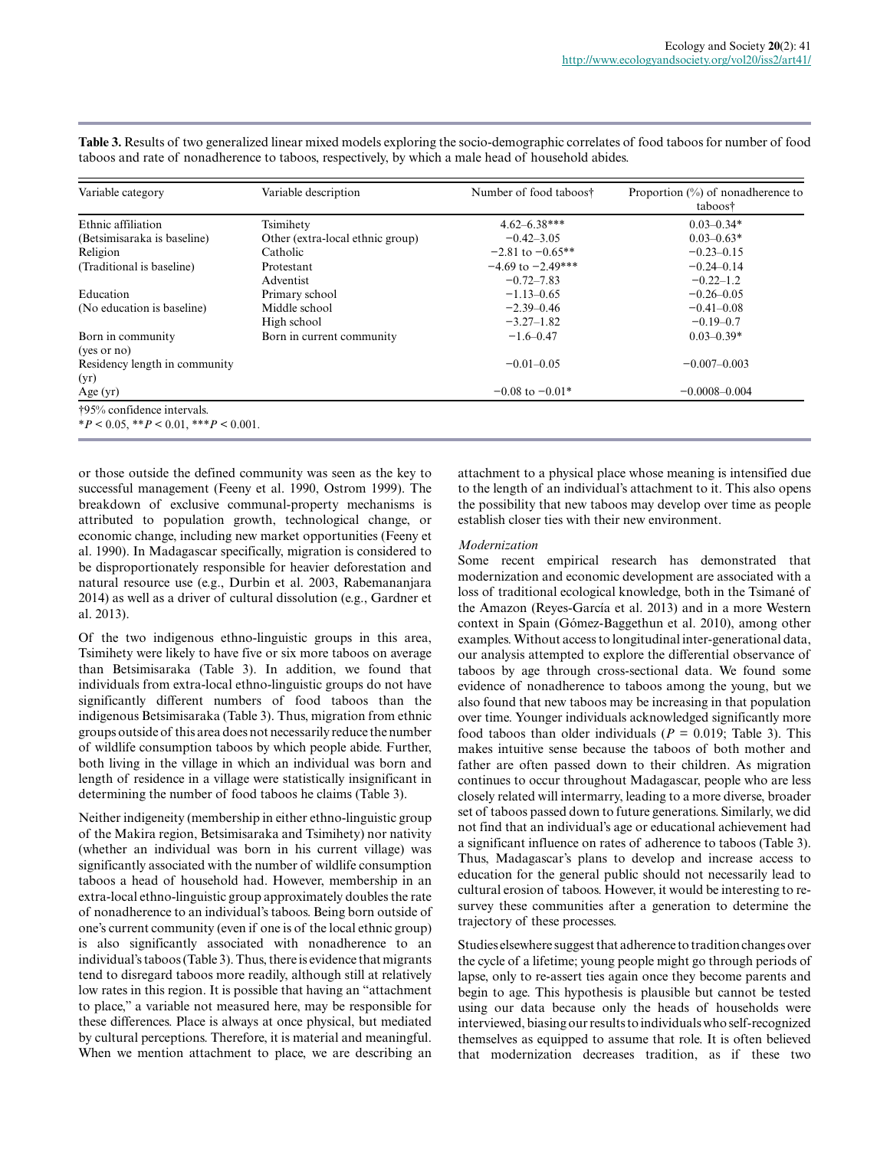| Variable category                     | Variable description             | Number of food taboost | Proportion $(\%)$ of nonadherence to<br>taboos† |
|---------------------------------------|----------------------------------|------------------------|-------------------------------------------------|
| Ethnic affiliation                    | Tsimihety                        | $4.62 - 6.38***$       | $0.03 - 0.34*$                                  |
| (Betsimisaraka is baseline)           | Other (extra-local ethnic group) | $-0.42 - 3.05$         | $0.03 - 0.63*$                                  |
| Religion                              | Catholic                         | $-2.81$ to $-0.65**$   | $-0.23 - 0.15$                                  |
| (Traditional is baseline)             | Protestant                       | $-4.69$ to $-2.49$ *** | $-0.24 - 0.14$                                  |
|                                       | Adventist                        | $-0.72 - 7.83$         | $-0.22 - 1.2$                                   |
| Education                             | Primary school                   | $-1.13 - 0.65$         | $-0.26 - 0.05$                                  |
| (No education is baseline)            | Middle school                    | $-2.39 - 0.46$         | $-0.41 - 0.08$                                  |
|                                       | High school                      | $-3.27 - 1.82$         | $-0.19 - 0.7$                                   |
| Born in community<br>(yes or no)      | Born in current community        | $-1.6 - 0.47$          | $0.03 - 0.39*$                                  |
| Residency length in community<br>(yr) |                                  | $-0.01 - 0.05$         | $-0.007 - 0.003$                                |
| Age $(yr)$                            |                                  | $-0.08$ to $-0.01*$    | $-0.0008 - 0.004$                               |

**Table 3.** Results of two generalized linear mixed models exploring the socio-demographic correlates of food taboos for number of food taboos and rate of nonadherence to taboos, respectively, by which a male head of household abides.

or those outside the defined community was seen as the key to successful management (Feeny et al. 1990, Ostrom 1999). The breakdown of exclusive communal-property mechanisms is attributed to population growth, technological change, or economic change, including new market opportunities (Feeny et al. 1990). In Madagascar specifically, migration is considered to be disproportionately responsible for heavier deforestation and natural resource use (e.g., Durbin et al. 2003, Rabemananjara 2014) as well as a driver of cultural dissolution (e.g., Gardner et al. 2013).

Of the two indigenous ethno-linguistic groups in this area, Tsimihety were likely to have five or six more taboos on average than Betsimisaraka (Table 3). In addition, we found that individuals from extra-local ethno-linguistic groups do not have significantly different numbers of food taboos than the indigenous Betsimisaraka (Table 3). Thus, migration from ethnic groups outside of this area does not necessarily reduce the number of wildlife consumption taboos by which people abide. Further, both living in the village in which an individual was born and length of residence in a village were statistically insignificant in determining the number of food taboos he claims (Table 3).

Neither indigeneity (membership in either ethno-linguistic group of the Makira region, Betsimisaraka and Tsimihety) nor nativity (whether an individual was born in his current village) was significantly associated with the number of wildlife consumption taboos a head of household had. However, membership in an extra-local ethno-linguistic group approximately doubles the rate of nonadherence to an individual's taboos. Being born outside of one's current community (even if one is of the local ethnic group) is also significantly associated with nonadherence to an individual's taboos (Table 3). Thus, there is evidence that migrants tend to disregard taboos more readily, although still at relatively low rates in this region. It is possible that having an "attachment to place," a variable not measured here, may be responsible for these differences. Place is always at once physical, but mediated by cultural perceptions. Therefore, it is material and meaningful. When we mention attachment to place, we are describing an

attachment to a physical place whose meaning is intensified due to the length of an individual's attachment to it. This also opens the possibility that new taboos may develop over time as people establish closer ties with their new environment.

## *Modernization*

Some recent empirical research has demonstrated that modernization and economic development are associated with a loss of traditional ecological knowledge, both in the Tsimané of the Amazon (Reyes-García et al. 2013) and in a more Western context in Spain (Gómez-Baggethun et al. 2010), among other examples. Without access to longitudinal inter-generational data, our analysis attempted to explore the differential observance of taboos by age through cross-sectional data. We found some evidence of nonadherence to taboos among the young, but we also found that new taboos may be increasing in that population over time. Younger individuals acknowledged significantly more food taboos than older individuals ( $P = 0.019$ ; Table 3). This makes intuitive sense because the taboos of both mother and father are often passed down to their children. As migration continues to occur throughout Madagascar, people who are less closely related will intermarry, leading to a more diverse, broader set of taboos passed down to future generations. Similarly, we did not find that an individual's age or educational achievement had a significant influence on rates of adherence to taboos (Table 3). Thus, Madagascar's plans to develop and increase access to education for the general public should not necessarily lead to cultural erosion of taboos. However, it would be interesting to resurvey these communities after a generation to determine the trajectory of these processes.

Studies elsewhere suggest that adherence to tradition changes over the cycle of a lifetime; young people might go through periods of lapse, only to re-assert ties again once they become parents and begin to age. This hypothesis is plausible but cannot be tested using our data because only the heads of households were interviewed, biasing our results to individuals who self-recognized themselves as equipped to assume that role. It is often believed that modernization decreases tradition, as if these two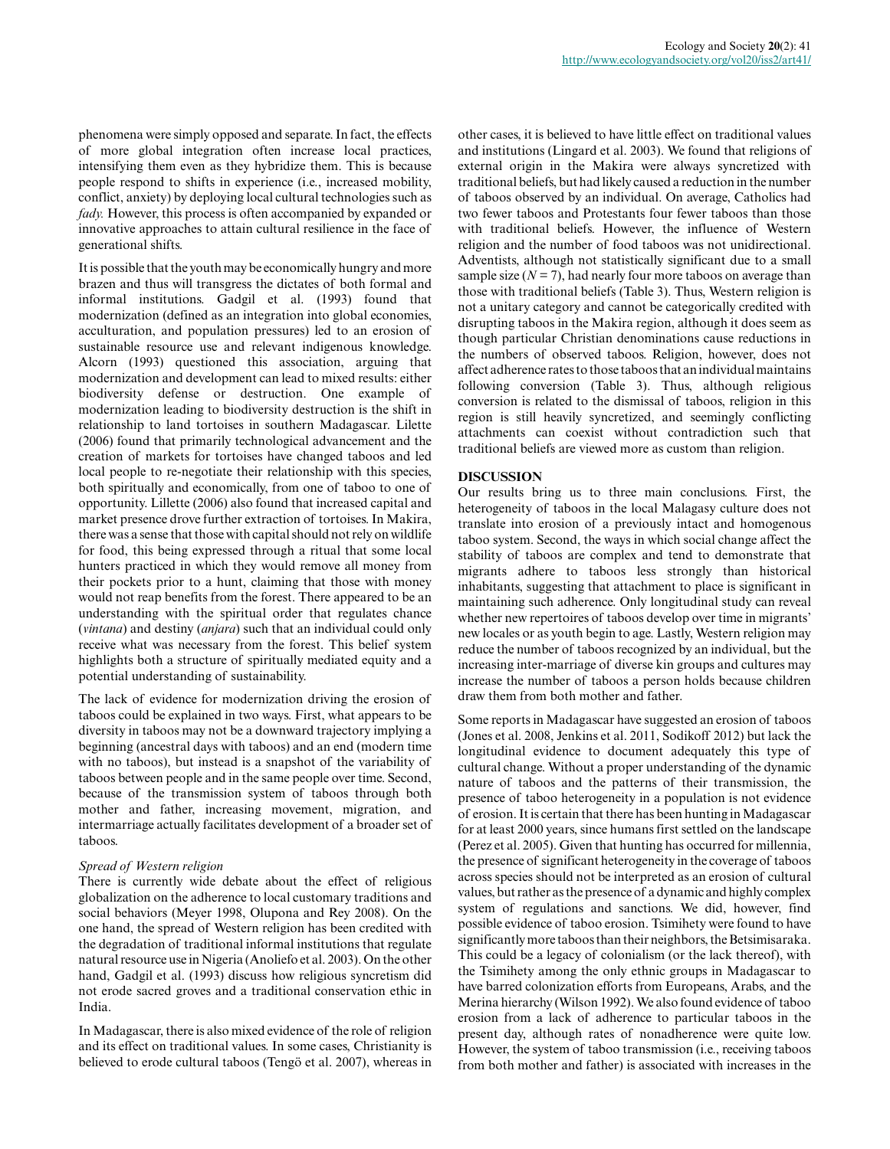phenomena were simply opposed and separate. In fact, the effects of more global integration often increase local practices, intensifying them even as they hybridize them. This is because people respond to shifts in experience (i.e., increased mobility, conflict, anxiety) by deploying local cultural technologies such as *fady.* However, this process is often accompanied by expanded or innovative approaches to attain cultural resilience in the face of generational shifts.

It is possible that the youth may be economically hungry and more brazen and thus will transgress the dictates of both formal and informal institutions. Gadgil et al. (1993) found that modernization (defined as an integration into global economies, acculturation, and population pressures) led to an erosion of sustainable resource use and relevant indigenous knowledge. Alcorn (1993) questioned this association, arguing that modernization and development can lead to mixed results: either biodiversity defense or destruction. One example of modernization leading to biodiversity destruction is the shift in relationship to land tortoises in southern Madagascar. Lilette (2006) found that primarily technological advancement and the creation of markets for tortoises have changed taboos and led local people to re-negotiate their relationship with this species, both spiritually and economically, from one of taboo to one of opportunity. Lillette (2006) also found that increased capital and market presence drove further extraction of tortoises. In Makira, there was a sense that those with capital should not rely on wildlife for food, this being expressed through a ritual that some local hunters practiced in which they would remove all money from their pockets prior to a hunt, claiming that those with money would not reap benefits from the forest. There appeared to be an understanding with the spiritual order that regulates chance (*vintana*) and destiny (*anjara*) such that an individual could only receive what was necessary from the forest. This belief system highlights both a structure of spiritually mediated equity and a potential understanding of sustainability.

The lack of evidence for modernization driving the erosion of taboos could be explained in two ways. First, what appears to be diversity in taboos may not be a downward trajectory implying a beginning (ancestral days with taboos) and an end (modern time with no taboos), but instead is a snapshot of the variability of taboos between people and in the same people over time. Second, because of the transmission system of taboos through both mother and father, increasing movement, migration, and intermarriage actually facilitates development of a broader set of taboos.

## *Spread of Western religion*

There is currently wide debate about the effect of religious globalization on the adherence to local customary traditions and social behaviors (Meyer 1998, Olupona and Rey 2008). On the one hand, the spread of Western religion has been credited with the degradation of traditional informal institutions that regulate natural resource use in Nigeria (Anoliefo et al. 2003). On the other hand, Gadgil et al. (1993) discuss how religious syncretism did not erode sacred groves and a traditional conservation ethic in India.

In Madagascar, there is also mixed evidence of the role of religion and its effect on traditional values. In some cases, Christianity is believed to erode cultural taboos (Tengö et al. 2007), whereas in other cases, it is believed to have little effect on traditional values and institutions (Lingard et al. 2003). We found that religions of external origin in the Makira were always syncretized with traditional beliefs, but had likely caused a reduction in the number of taboos observed by an individual. On average, Catholics had two fewer taboos and Protestants four fewer taboos than those with traditional beliefs. However, the influence of Western religion and the number of food taboos was not unidirectional. Adventists, although not statistically significant due to a small sample size  $(N = 7)$ , had nearly four more taboos on average than those with traditional beliefs (Table 3). Thus, Western religion is not a unitary category and cannot be categorically credited with disrupting taboos in the Makira region, although it does seem as though particular Christian denominations cause reductions in the numbers of observed taboos. Religion, however, does not affect adherence rates to those taboos that an individual maintains following conversion (Table 3). Thus, although religious conversion is related to the dismissal of taboos, religion in this region is still heavily syncretized, and seemingly conflicting attachments can coexist without contradiction such that traditional beliefs are viewed more as custom than religion.

# **DISCUSSION**

Our results bring us to three main conclusions. First, the heterogeneity of taboos in the local Malagasy culture does not translate into erosion of a previously intact and homogenous taboo system. Second, the ways in which social change affect the stability of taboos are complex and tend to demonstrate that migrants adhere to taboos less strongly than historical inhabitants, suggesting that attachment to place is significant in maintaining such adherence. Only longitudinal study can reveal whether new repertoires of taboos develop over time in migrants' new locales or as youth begin to age. Lastly, Western religion may reduce the number of taboos recognized by an individual, but the increasing inter-marriage of diverse kin groups and cultures may increase the number of taboos a person holds because children draw them from both mother and father.

Some reports in Madagascar have suggested an erosion of taboos (Jones et al. 2008, Jenkins et al. 2011, Sodikoff 2012) but lack the longitudinal evidence to document adequately this type of cultural change. Without a proper understanding of the dynamic nature of taboos and the patterns of their transmission, the presence of taboo heterogeneity in a population is not evidence of erosion. It is certain that there has been hunting in Madagascar for at least 2000 years, since humans first settled on the landscape (Perez et al. 2005). Given that hunting has occurred for millennia, the presence of significant heterogeneity in the coverage of taboos across species should not be interpreted as an erosion of cultural values, but rather as the presence of a dynamic and highly complex system of regulations and sanctions. We did, however, find possible evidence of taboo erosion. Tsimihety were found to have significantly more taboos than their neighbors, the Betsimisaraka. This could be a legacy of colonialism (or the lack thereof), with the Tsimihety among the only ethnic groups in Madagascar to have barred colonization efforts from Europeans, Arabs, and the Merina hierarchy (Wilson 1992). We also found evidence of taboo erosion from a lack of adherence to particular taboos in the present day, although rates of nonadherence were quite low. However, the system of taboo transmission (i.e., receiving taboos from both mother and father) is associated with increases in the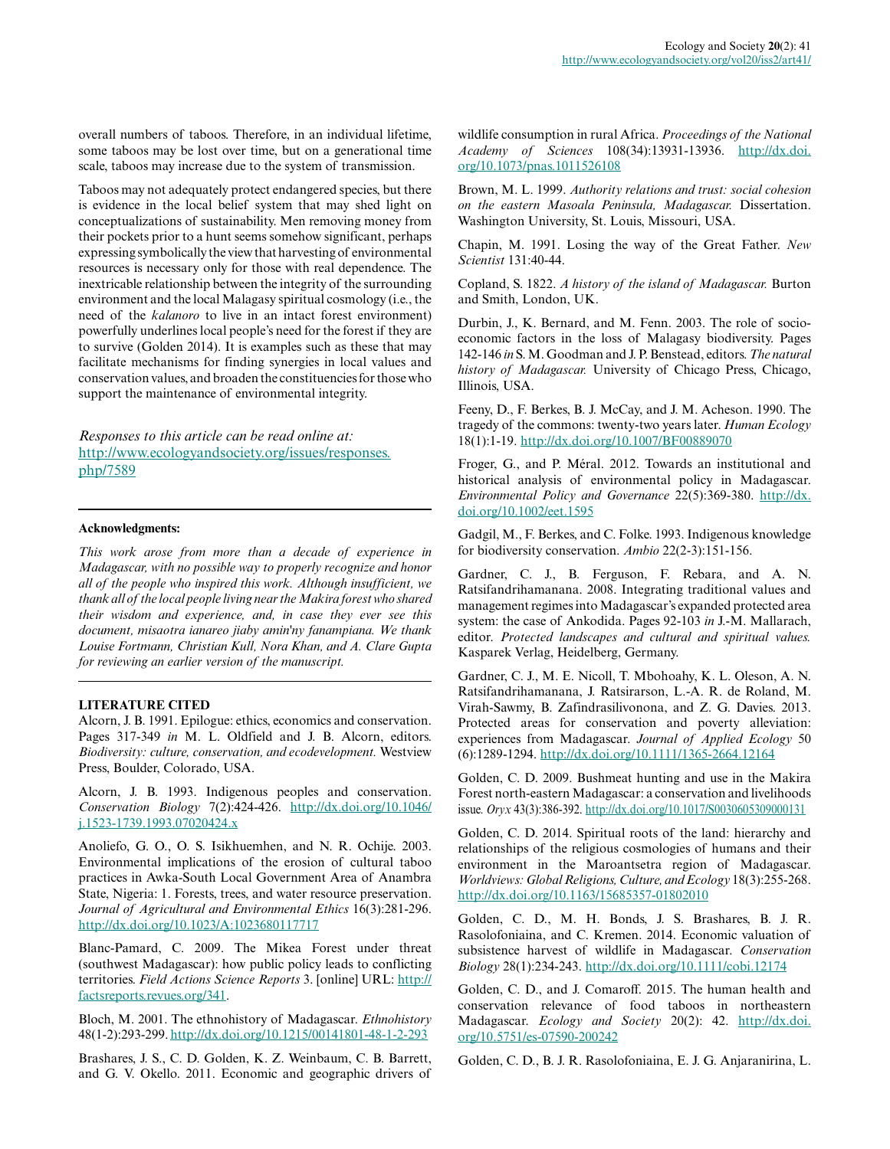overall numbers of taboos. Therefore, in an individual lifetime, some taboos may be lost over time, but on a generational time scale, taboos may increase due to the system of transmission.

Taboos may not adequately protect endangered species, but there is evidence in the local belief system that may shed light on conceptualizations of sustainability. Men removing money from their pockets prior to a hunt seems somehow significant, perhaps expressing symbolically the view that harvesting of environmental resources is necessary only for those with real dependence. The inextricable relationship between the integrity of the surrounding environment and the local Malagasy spiritual cosmology (i.e., the need of the *kalanoro* to live in an intact forest environment) powerfully underlines local people's need for the forest if they are to survive (Golden 2014). It is examples such as these that may facilitate mechanisms for finding synergies in local values and conservation values, and broaden the constituencies for those who support the maintenance of environmental integrity.

*Responses to this article can be read online at:* [http://www.ecologyandsociety.org/issues/responses.](http://www.ecologyandsociety.org/issues/responses.php/7589) [php/7589](http://www.ecologyandsociety.org/issues/responses.php/7589)

#### **Acknowledgments:**

*This work arose from more than a decade of experience in Madagascar, with no possible way to properly recognize and honor all of the people who inspired this work. Although insufficient, we thank all of the local people living near the Makira forest who shared their wisdom and experience, and, in case they ever see this document, misaotra ianareo jiaby amin'ny fanampiana. We thank Louise Fortmann, Christian Kull, Nora Khan, and A. Clare Gupta for reviewing an earlier version of the manuscript.*

#### **LITERATURE CITED**

Alcorn, J. B. 1991. Epilogue: ethics, economics and conservation. Pages 317-349 *in* M. L. Oldfield and J. B. Alcorn, editors. *Biodiversity: culture, conservation, and ecodevelopment.* Westview Press, Boulder, Colorado, USA.

Alcorn, J. B. 1993. Indigenous peoples and conservation. *Conservation Biology* 7(2):424-426. [http://dx.doi.org/10.1046/](http://dx.doi.org/10.1046/j.1523-1739.1993.07020424.x) [j.1523-1739.1993.07020424.x](http://dx.doi.org/10.1046/j.1523-1739.1993.07020424.x) 

Anoliefo, G. O., O. S. Isikhuemhen, and N. R. Ochije. 2003. Environmental implications of the erosion of cultural taboo practices in Awka-South Local Government Area of Anambra State, Nigeria: 1. Forests, trees, and water resource preservation. *Journal of Agricultural and Environmental Ethics* 16(3):281-296. [http://dx.doi.org/10.1023/A:1023680117717](http://dx.doi.org/10.1023/A%3A1023680117717)

Blanc-Pamard, C. 2009. The Mikea Forest under threat (southwest Madagascar): how public policy leads to conflicting territories. *Field Actions Science Reports* 3. [online] URL: [http://](http://factsreports.revues.org/341) [factsreports.revues.org/341.](http://factsreports.revues.org/341)

Bloch, M. 2001. The ethnohistory of Madagascar. *Ethnohistory* 48(1-2):293-299.<http://dx.doi.org/10.1215/00141801-48-1-2-293>

Brashares, J. S., C. D. Golden, K. Z. Weinbaum, C. B. Barrett, and G. V. Okello. 2011. Economic and geographic drivers of wildlife consumption in rural Africa. *Proceedings of the National Academy of Sciences* 108(34):13931-13936. [http://dx.doi.](http://dx.doi.org/10.1073/pnas.1011526108) [org/10.1073/pnas.1011526108](http://dx.doi.org/10.1073/pnas.1011526108) 

Brown, M. L. 1999. *Authority relations and trust: social cohesion on the eastern Masoala Peninsula, Madagascar.* Dissertation. Washington University, St. Louis, Missouri, USA.

Chapin, M. 1991. Losing the way of the Great Father. *New Scientist* 131:40-44.

Copland, S. 1822. *A history of the island of Madagascar.* Burton and Smith, London, UK.

Durbin, J., K. Bernard, and M. Fenn. 2003. The role of socioeconomic factors in the loss of Malagasy biodiversity. Pages 142-146 *in* S. M. Goodman and J. P. Benstead, editors. *The natural history of Madagascar.* University of Chicago Press, Chicago, Illinois, USA.

Feeny, D., F. Berkes, B. J. McCay, and J. M. Acheson. 1990. The tragedy of the commons: twenty-two years later. *Human Ecology* 18(1):1-19.<http://dx.doi.org/10.1007/BF00889070>

Froger, G., and P. Méral. 2012. Towards an institutional and historical analysis of environmental policy in Madagascar. *Environmental Policy and Governance* 22(5):369-380. [http://dx.](http://dx.doi.org/10.1002/eet.1595) [doi.org/10.1002/eet.1595](http://dx.doi.org/10.1002/eet.1595)

Gadgil, M., F. Berkes, and C. Folke. 1993. Indigenous knowledge for biodiversity conservation. *Ambio* 22(2-3):151-156.

Gardner, C. J., B. Ferguson, F. Rebara, and A. N. Ratsifandrihamanana. 2008. Integrating traditional values and management regimes into Madagascar's expanded protected area system: the case of Ankodida. Pages 92-103 *in* J.-M. Mallarach, editor. *Protected landscapes and cultural and spiritual values.* Kasparek Verlag, Heidelberg, Germany.

Gardner, C. J., M. E. Nicoll, T. Mbohoahy, K. L. Oleson, A. N. Ratsifandrihamanana, J. Ratsirarson, L.-A. R. de Roland, M. Virah-Sawmy, B. Zafindrasilivonona, and Z. G. Davies. 2013. Protected areas for conservation and poverty alleviation: experiences from Madagascar. *Journal of Applied Ecology* 50 (6):1289-1294. <http://dx.doi.org/10.1111/1365-2664.12164>

Golden, C. D. 2009. Bushmeat hunting and use in the Makira Forest north-eastern Madagascar: a conservation and livelihoods issue. *Oryx* 43(3):386-392. <http://dx.doi.org/10.1017/S0030605309000131>

Golden, C. D. 2014. Spiritual roots of the land: hierarchy and relationships of the religious cosmologies of humans and their environment in the Maroantsetra region of Madagascar. *Worldviews: Global Religions, Culture, and Ecology* 18(3):255-268. <http://dx.doi.org/10.1163/15685357-01802010>

Golden, C. D., M. H. Bonds, J. S. Brashares, B. J. R. Rasolofoniaina, and C. Kremen. 2014. Economic valuation of subsistence harvest of wildlife in Madagascar. *Conservation Biology* 28(1):234-243. <http://dx.doi.org/10.1111/cobi.12174>

Golden, C. D., and J. Comaroff. 2015. The human health and conservation relevance of food taboos in northeastern Madagascar. *Ecology and Society* 20(2): 42. [http://dx.doi.](http://dx.doi.org/10.5751/es-07590-200242) [org/10.5751/es-07590-200242](http://dx.doi.org/10.5751/es-07590-200242)

Golden, C. D., B. J. R. Rasolofoniaina, E. J. G. Anjaranirina, L.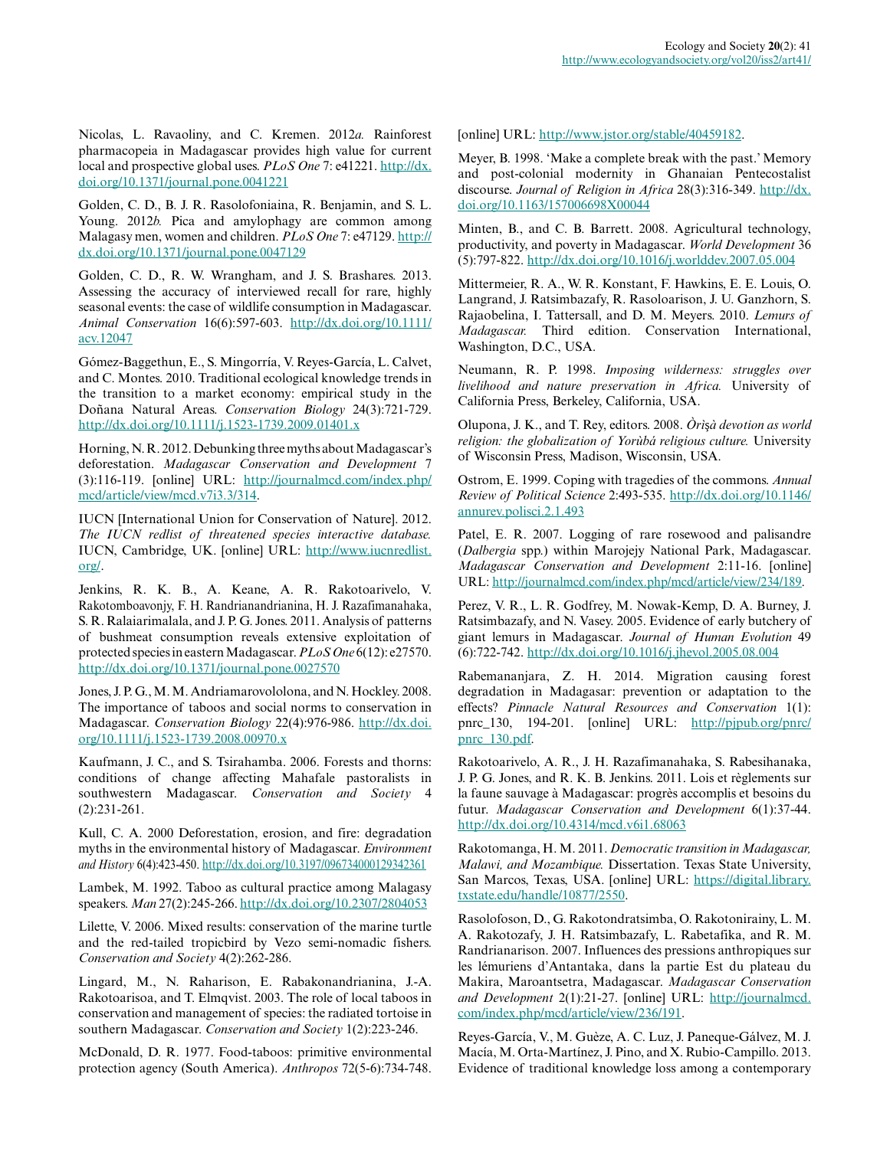Nicolas, L. Ravaoliny, and C. Kremen. 2012*a.* Rainforest pharmacopeia in Madagascar provides high value for current local and prospective global uses. *PLoS One* 7: e41221. [http://dx.](http://dx.doi.org/10.1371/journal.pone.0041221) [doi.org/10.1371/journal.pone.0041221](http://dx.doi.org/10.1371/journal.pone.0041221)

Golden, C. D., B. J. R. Rasolofoniaina, R. Benjamin, and S. L. Young. 2012*b.* Pica and amylophagy are common among Malagasy men, women and children. *PLoS One* 7: e47129. [http://](http://dx.doi.org/10.1371/journal.pone.0047129) [dx.doi.org/10.1371/journal.pone.0047129](http://dx.doi.org/10.1371/journal.pone.0047129)

Golden, C. D., R. W. Wrangham, and J. S. Brashares. 2013. Assessing the accuracy of interviewed recall for rare, highly seasonal events: the case of wildlife consumption in Madagascar. *Animal Conservation* 16(6):597-603. [http://dx.doi.org/10.1111/](http://dx.doi.org/10.1111/acv.12047) [acv.12047](http://dx.doi.org/10.1111/acv.12047)

Gómez-Baggethun, E., S. Mingorría, V. Reyes-García, L. Calvet, and C. Montes. 2010. Traditional ecological knowledge trends in the transition to a market economy: empirical study in the Doñana Natural Areas. *Conservation Biology* 24(3):721-729. <http://dx.doi.org/10.1111/j.1523-1739.2009.01401.x>

Horning, N. R. 2012. Debunking three myths about Madagascar's deforestation. *Madagascar Conservation and Development* 7 (3):116-119. [online] URL: [http://journalmcd.com/index.php/](http://journalmcd.com/index.php/mcd/article/view/mcd.v7i3.3/314) [mcd/article/view/mcd.v7i3.3/314.](http://journalmcd.com/index.php/mcd/article/view/mcd.v7i3.3/314)

IUCN [International Union for Conservation of Nature]. 2012. *The IUCN redlist of threatened species interactive database.* IUCN, Cambridge, UK. [online] URL: [http://www.iucnredlist.](http://www.iucnredlist.org/) [org/](http://www.iucnredlist.org/).

Jenkins, R. K. B., A. Keane, A. R. Rakotoarivelo, V. Rakotomboavonjy, F. H. Randrianandrianina, H. J. Razafimanahaka, S. R. Ralaiarimalala, and J. P. G. Jones. 2011. Analysis of patterns of bushmeat consumption reveals extensive exploitation of protected species in eastern Madagascar. *PLoS One* 6(12): e27570. <http://dx.doi.org/10.1371/journal.pone.0027570>

Jones, J. P. G., M. M. Andriamarovololona, and N. Hockley. 2008. The importance of taboos and social norms to conservation in Madagascar. *Conservation Biology* 22(4):976-986. [http://dx.doi.](http://dx.doi.org/10.1111/j.1523-1739.2008.00970.x) [org/10.1111/j.1523-1739.2008.00970.x](http://dx.doi.org/10.1111/j.1523-1739.2008.00970.x)

Kaufmann, J. C., and S. Tsirahamba. 2006. Forests and thorns: conditions of change affecting Mahafale pastoralists in southwestern Madagascar. *Conservation and Society* 4 (2):231-261.

Kull, C. A. 2000 Deforestation, erosion, and fire: degradation myths in the environmental history of Madagascar. *Environment and History* 6(4):423-450.<http://dx.doi.org/10.3197/096734000129342361>

Lambek, M. 1992. Taboo as cultural practice among Malagasy speakers. *Man* 27(2):245-266.<http://dx.doi.org/10.2307/2804053>

Lilette, V. 2006. Mixed results: conservation of the marine turtle and the red-tailed tropicbird by Vezo semi-nomadic fishers. *Conservation and Society* 4(2):262-286.

Lingard, M., N. Raharison, E. Rabakonandrianina, J.-A. Rakotoarisoa, and T. Elmqvist. 2003. The role of local taboos in conservation and management of species: the radiated tortoise in southern Madagascar. *Conservation and Society* 1(2):223-246.

McDonald, D. R. 1977. Food-taboos: primitive environmental protection agency (South America). *Anthropos* 72(5-6):734-748. [online] URL: [http://www.jstor.org/stable/40459182.](http://www.jstor.org/stable/40459182)

Meyer, B. 1998. 'Make a complete break with the past.' Memory and post-colonial modernity in Ghanaian Pentecostalist discourse. *Journal of Religion in Africa* 28(3):316-349. [http://dx.](http://dx.doi.org/10.1163/157006698X00044) [doi.org/10.1163/157006698X00044](http://dx.doi.org/10.1163/157006698X00044) 

Minten, B., and C. B. Barrett. 2008. Agricultural technology, productivity, and poverty in Madagascar. *World Development* 36 (5):797-822. <http://dx.doi.org/10.1016/j.worlddev.2007.05.004>

Mittermeier, R. A., W. R. Konstant, F. Hawkins, E. E. Louis, O. Langrand, J. Ratsimbazafy, R. Rasoloarison, J. U. Ganzhorn, S. Rajaobelina, I. Tattersall, and D. M. Meyers. 2010. *Lemurs of Madagascar.* Third edition. Conservation International, Washington, D.C., USA.

Neumann, R. P. 1998. *Imposing wilderness: struggles over livelihood and nature preservation in Africa.* University of California Press, Berkeley, California, USA.

Olupona, J. K., and T. Rey, editors. 2008. *Òrì*ş*à devotion as world religion: the globalization of Yorùbá religious culture.* University of Wisconsin Press, Madison, Wisconsin, USA.

Ostrom, E. 1999. Coping with tragedies of the commons. *Annual Review of Political Science* 2:493-535. [http://dx.doi.org/10.1146/](http://dx.doi.org/10.1146/annurev.polisci.2.1.493) [annurev.polisci.2.1.493](http://dx.doi.org/10.1146/annurev.polisci.2.1.493) 

Patel, E. R. 2007. Logging of rare rosewood and palisandre (*Dalbergia* spp.) within Marojejy National Park, Madagascar. *Madagascar Conservation and Development* 2:11-16. [online] URL: <http://journalmcd.com/index.php/mcd/article/view/234/189>.

Perez, V. R., L. R. Godfrey, M. Nowak-Kemp, D. A. Burney, J. Ratsimbazafy, and N. Vasey. 2005. Evidence of early butchery of giant lemurs in Madagascar. *Journal of Human Evolution* 49 (6):722-742. <http://dx.doi.org/10.1016/j.jhevol.2005.08.004>

Rabemananjara, Z. H. 2014. Migration causing forest degradation in Madagasar: prevention or adaptation to the effects? *Pinnacle Natural Resources and Conservation* 1(1): pnrc\_130, 194-201. [online] URL: [http://pjpub.org/pnrc/](http://pjpub.org/pnrc/pnrc_130.pdf) [pnrc\\_130.pdf.](http://pjpub.org/pnrc/pnrc_130.pdf)

Rakotoarivelo, A. R., J. H. Razafimanahaka, S. Rabesihanaka, J. P. G. Jones, and R. K. B. Jenkins. 2011. Lois et règlements sur la faune sauvage à Madagascar: progrès accomplis et besoins du futur. *Madagascar Conservation and Development* 6(1):37-44. <http://dx.doi.org/10.4314/mcd.v6i1.68063>

Rakotomanga, H. M. 2011. *Democratic transition in Madagascar, Malawi, and Mozambique.* Dissertation. Texas State University, San Marcos, Texas, USA. [online] URL: [https://digital.library.](https://digital.library.txstate.edu/handle/10877/2550) [txstate.edu/handle/10877/2550.](https://digital.library.txstate.edu/handle/10877/2550)

Rasolofoson, D., G. Rakotondratsimba, O. Rakotonirainy, L. M. A. Rakotozafy, J. H. Ratsimbazafy, L. Rabetafika, and R. M. Randrianarison. 2007. Influences des pressions anthropiques sur les lémuriens d'Antantaka, dans la partie Est du plateau du Makira, Maroantsetra, Madagascar. *Madagascar Conservation and Development* 2(1):21-27. [online] URL: [http://journalmcd.](http://journalmcd.com/index.php/mcd/article/view/236/191) [com/index.php/mcd/article/view/236/191.](http://journalmcd.com/index.php/mcd/article/view/236/191)

Reyes-García, V., M. Guèze, A. C. Luz, J. Paneque-Gálvez, M. J. Macía, M. Orta-Martínez, J. Pino, and X. Rubio-Campillo. 2013. Evidence of traditional knowledge loss among a contemporary